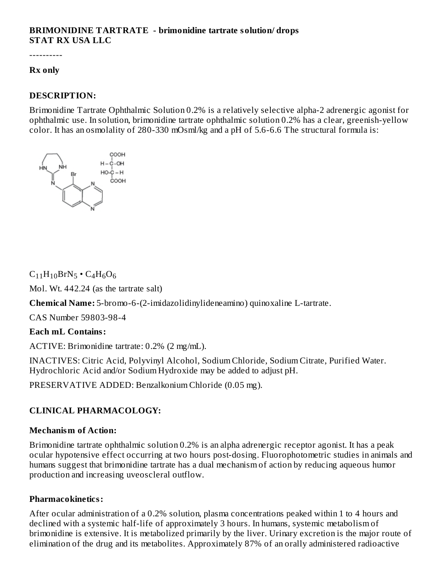### **BRIMONIDINE TARTRATE - brimonidine tartrate solution/ drops STAT RX USA LLC**

----------

#### **Rx only**

### **DESCRIPTION:**

Brimonidine Tartrate Ophthalmic Solution 0.2% is a relatively selective alpha-2 adrenergic agonist for ophthalmic use. In solution, brimonidine tartrate ophthalmic solution 0.2% has a clear, greenish-yellow color. It has an osmolality of 280-330 mOsml/kg and a pH of 5.6-6.6 The structural formula is:



 $C_{11}H_{10}BrN_5 \cdot C_4H_6O_6$ 

Mol. Wt. 442.24 (as the tartrate salt)

**Chemical Name:** 5-bromo-6-(2-imidazolidinylideneamino) quinoxaline L-tartrate.

CAS Number 59803-98-4

## **Each mL Contains:**

ACTIVE: Brimonidine tartrate: 0.2% (2 mg/mL).

INACTIVES: Citric Acid, Polyvinyl Alcohol, Sodium Chloride, Sodium Citrate, Purified Water. Hydrochloric Acid and/or Sodium Hydroxide may be added to adjust pH.

PRESERVATIVE ADDED: Benzalkonium Chloride (0.05 mg).

# **CLINICAL PHARMACOLOGY:**

#### **Mechanism of Action:**

Brimonidine tartrate ophthalmic solution 0.2% is an alpha adrenergic receptor agonist. It has a peak ocular hypotensive effect occurring at two hours post-dosing. Fluorophotometric studies in animals and humans suggest that brimonidine tartrate has a dual mechanism of action by reducing aqueous humor production and increasing uveoscleral outflow.

#### **Pharmacokinetics:**

After ocular administration of a 0.2% solution, plasma concentrations peaked within 1 to 4 hours and declined with a systemic half-life of approximately 3 hours. In humans, systemic metabolism of brimonidine is extensive. It is metabolized primarily by the liver. Urinary excretion is the major route of elimination of the drug and its metabolites. Approximately 87% of an orally administered radioactive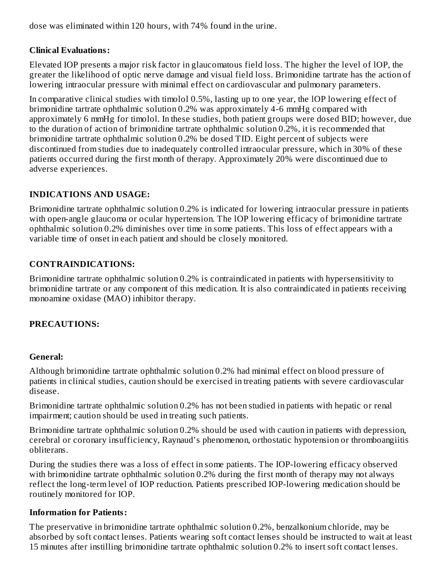dose was eliminated within 120 hours, with 74% found in the urine.

## **Clinical Evaluations:**

Elevated IOP presents a major risk factor in glaucomatous field loss. The higher the level of lOP, the greater the likelihood of optic nerve damage and visual field loss. Brimonidine tartrate has the action of lowering intraocular pressure with minimal effect on cardiovascular and pulmonary parameters.

In comparative clinical studies with timolol 0.5%, lasting up to one year, the lOP lowering effect of brimonidine tartrate ophthalmic solution 0.2% was approximately 4-6 mmHg compared with approximately 6 mmHg for timolol. In these studies, both patient groups were dosed BID; however, due to the duration of action of brimonidine tartrate ophthalmic solution 0.2%, it is recommended that brimonidine tartrate ophthalmic solution 0.2% be dosed TID. Eight percent of subjects were discontinued from studies due to inadequately controlled intraocular pressure, which in 30% of these patients occurred during the first month of therapy. Approximately 20% were discontinued due to adverse experiences.

# **INDICATIONS AND USAGE:**

Brimonidine tartrate ophthalmic solution 0.2% is indicated for lowering intraocular pressure in patients with open-angle glaucoma or ocular hypertension. The lOP lowering efficacy of brimonidine tartrate ophthalmic solution 0.2% diminishes over time in some patients. This loss of effect appears with a variable time of onset in each patient and should be closely monitored.

## **CONTRAINDICATIONS:**

Brimonidine tartrate ophthalmic solution 0.2% is contraindicated in patients with hypersensitivity to brimonidine tartrate or any component of this medication. It is also contraindicated in patients receiving monoamine oxidase (MAO) inhibitor therapy.

# **PRECAUTIONS:**

## **General:**

Although brimonidine tartrate ophthalmic solution 0.2% had minimal effect on blood pressure of patients in clinical studies, caution should be exercised in treating patients with severe cardiovascular disease.

Brimonidine tartrate ophthalmic solution 0.2% has not been studied in patients with hepatic or renal impairment; caution should be used in treating such patients.

Brimonidine tartrate ophthalmic solution 0.2% should be used with caution in patients with depression, cerebral or coronary insufficiency, Raynaud's phenomenon, orthostatic hypotension or thromboangiitis obliterans.

During the studies there was a loss of effect in some patients. The IOP-lowering efficacy observed with brimonidine tartrate ophthalmic solution 0.2% during the first month of therapy may not always reflect the long-term level of IOP reduction. Patients prescribed IOP-lowering medication should be routinely monitored for IOP.

## **Information for Patients:**

The preservative in brimonidine tartrate ophthalmic solution 0.2%, benzalkonium chloride, may be absorbed by soft contact lenses. Patients wearing soft contact lenses should be instructed to wait at least 15 minutes after instilling brimonidine tartrate ophthalmic solution 0.2% to insert soft contact lenses.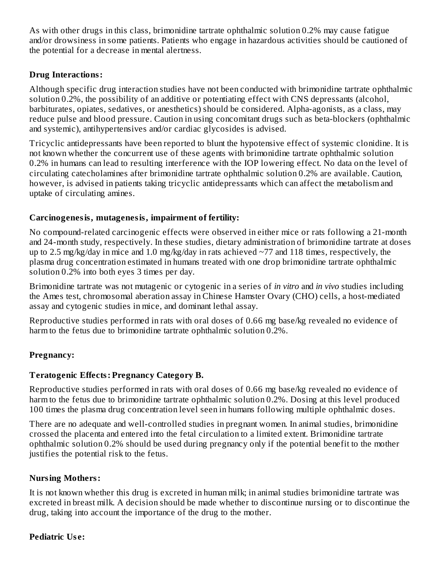As with other drugs in this class, brimonidine tartrate ophthalmic solution 0.2% may cause fatigue and/or drowsiness in some patients. Patients who engage in hazardous activities should be cautioned of the potential for a decrease in mental alertness.

## **Drug Interactions:**

Although specific drug interaction studies have not been conducted with brimonidine tartrate ophthalmic solution 0.2%, the possibility of an additive or potentiating effect with CNS depressants (alcohol, barbiturates, opiates, sedatives, or anesthetics) should be considered. Alpha-agonists, as a class, may reduce pulse and blood pressure. Caution in using concomitant drugs such as beta-blockers (ophthalmic and systemic), antihypertensives and/or cardiac glycosides is advised.

Tricyclic antidepressants have been reported to blunt the hypotensive effect of systemic clonidine. It is not known whether the concurrent use of these agents with brimonidine tartrate ophthalmic solution 0.2% in humans can lead to resulting interference with the IOP lowering effect. No data on the level of circulating catecholamines after brimonidine tartrate ophthalmic solution 0.2% are available. Caution, however, is advised in patients taking tricyclic antidepressants which can affect the metabolism and uptake of circulating amines.

## **Carcinogenesis, mutagenesis, impairment of fertility:**

No compound-related carcinogenic effects were observed in either mice or rats following a 21-month and 24-month study, respectively. In these studies, dietary administration of brimonidine tartrate at doses up to 2.5 mg/kg/day in mice and 1.0 mg/kg/day in rats achieved  $\sim$ 77 and 118 times, respectively, the plasma drug concentration estimated in humans treated with one drop brimonidine tartrate ophthalmic solution 0.2% into both eyes 3 times per day.

Brimonidine tartrate was not mutagenic or cytogenic in a series of *in vitro* and *in vivo* studies including the Ames test, chromosomal aberation assay in Chinese Hamster Ovary (CHO) cells, a host-mediated assay and cytogenic studies in mice, and dominant lethal assay.

Reproductive studies performed in rats with oral doses of 0.66 mg base/kg revealed no evidence of harm to the fetus due to brimonidine tartrate ophthalmic solution 0.2%.

# **Pregnancy:**

# **Teratogenic Effects: Pregnancy Category B.**

Reproductive studies performed in rats with oral doses of 0.66 mg base/kg revealed no evidence of harm to the fetus due to brimonidine tartrate ophthalmic solution 0.2%. Dosing at this level produced 100 times the plasma drug concentration level seen in humans following multiple ophthalmic doses.

There are no adequate and well-controlled studies in pregnant women. In animal studies, brimonidine crossed the placenta and entered into the fetal circulation to a limited extent. Brimonidine tartrate ophthalmic solution 0.2% should be used during pregnancy only if the potential benefit to the mother justifies the potential risk to the fetus.

## **Nursing Mothers:**

It is not known whether this drug is excreted in human milk; in animal studies brimonidine tartrate was excreted in breast milk. A decision should be made whether to discontinue nursing or to discontinue the drug, taking into account the importance of the drug to the mother.

## **Pediatric Us e:**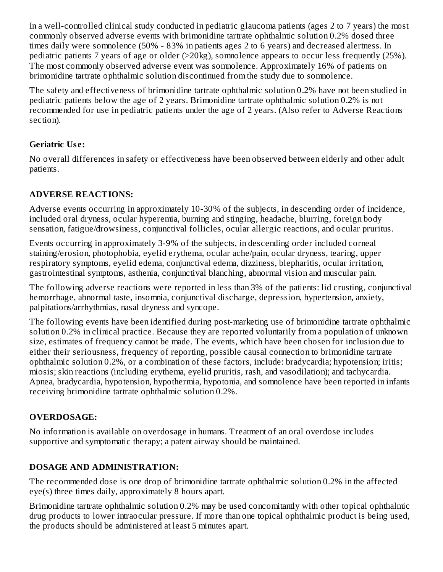In a well-controlled clinical study conducted in pediatric glaucoma patients (ages 2 to 7 years) the most commonly observed adverse events with brimonidine tartrate ophthalmic solution 0.2% dosed three times daily were somnolence (50% - 83% in patients ages 2 to 6 years) and decreased alertness. In pediatric patients 7 years of age or older (>20kg), somnolence appears to occur less frequently (25%). The most commonly observed adverse event was somnolence. Approximately 16% of patients on brimonidine tartrate ophthalmic solution discontinued from the study due to somnolence.

The safety and effectiveness of brimonidine tartrate ophthalmic solution 0.2% have not been studied in pediatric patients below the age of 2 years. Brimonidine tartrate ophthalmic solution 0.2% is not recommended for use in pediatric patients under the age of 2 years. (Also refer to Adverse Reactions section).

# **Geriatric Us e:**

No overall differences in safety or effectiveness have been observed between elderly and other adult patients.

# **ADVERSE REACTIONS:**

Adverse events occurring in approximately 10-30% of the subjects, in descending order of incidence, included oral dryness, ocular hyperemia, burning and stinging, headache, blurring, foreign body sensation, fatigue/drowsiness, conjunctival follicles, ocular allergic reactions, and ocular pruritus.

Events occurring in approximately 3-9% of the subjects, in descending order included corneal staining/erosion, photophobia, eyelid erythema, ocular ache/pain, ocular dryness, tearing, upper respiratory symptoms, eyelid edema, conjunctival edema, dizziness, blepharitis, ocular irritation, gastrointestinal symptoms, asthenia, conjunctival blanching, abnormal vision and muscular pain.

The following adverse reactions were reported in less than 3% of the patients: lid crusting, conjunctival hemorrhage, abnormal taste, insomnia, conjunctival discharge, depression, hypertension, anxiety, palpitations/arrhythmias, nasal dryness and syncope.

The following events have been identified during post-marketing use of brimonidine tartrate ophthalmic solution 0.2% in clinical practice. Because they are reported voluntarily from a population of unknown size, estimates of frequency cannot be made. The events, which have been chosen for inclusion due to either their seriousness, frequency of reporting, possible causal connection to brimonidine tartrate ophthalmic solution 0.2%, or a combination of these factors, include: bradycardia; hypotension; iritis; miosis; skin reactions (including erythema, eyelid pruritis, rash, and vasodilation); and tachycardia. Apnea, bradycardia, hypotension, hypothermia, hypotonia, and somnolence have been reported in infants receiving brimonidine tartrate ophthalmic solution 0.2%.

# **OVERDOSAGE:**

No information is available on overdosage in humans. Treatment of an oral overdose includes supportive and symptomatic therapy; a patent airway should be maintained.

# **DOSAGE AND ADMINISTRATION:**

The recommended dose is one drop of brimonidine tartrate ophthalmic solution 0.2% in the affected eye(s) three times daily, approximately 8 hours apart.

Brimonidine tartrate ophthalmic solution 0.2% may be used concomitantly with other topical ophthalmic drug products to lower intraocular pressure. If more than one topical ophthalmic product is being used, the products should be administered at least 5 minutes apart.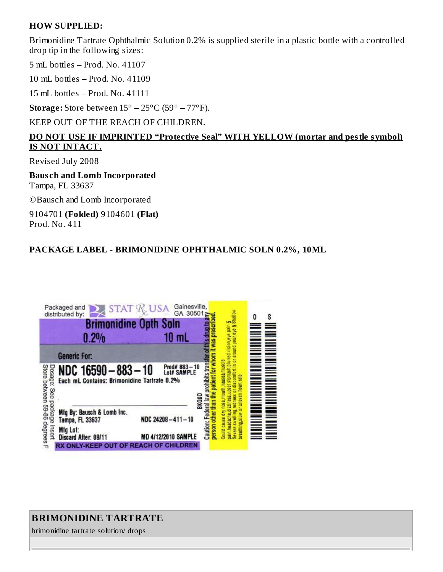### **HOW SUPPLIED:**

Brimonidine Tartrate Ophthalmic Solution 0.2% is supplied sterile in a plastic bottle with a controlled drop tip in the following sizes:

5 mL bottles – Prod. No. 41107

10 mL bottles – Prod. No. 41109

15 mL bottles – Prod. No. 41111

**Storage:** Store between 15° – 25°C (59° – 77°F).

KEEP OUT OF THE REACH OF CHILDREN.

## **DO NOT USE IF IMPRINTED "Protective Seal" WITH YELLOW (mortar and pestle symbol) IS NOT INTACT.**

Revised July 2008

**Baus ch and Lomb Incorporated** Tampa, FL 33637

©Bausch and Lomb Incorporated

9104701 **(Folded)** 9104601 **(Flat)** Prod. No. 411

## **PACKAGE LABEL - BRIMONIDINE OPHTHALMIC SOLN 0.2%, 10ML**



# **BRIMONIDINE TARTRATE**

brimonidine tartrate solution/ drops